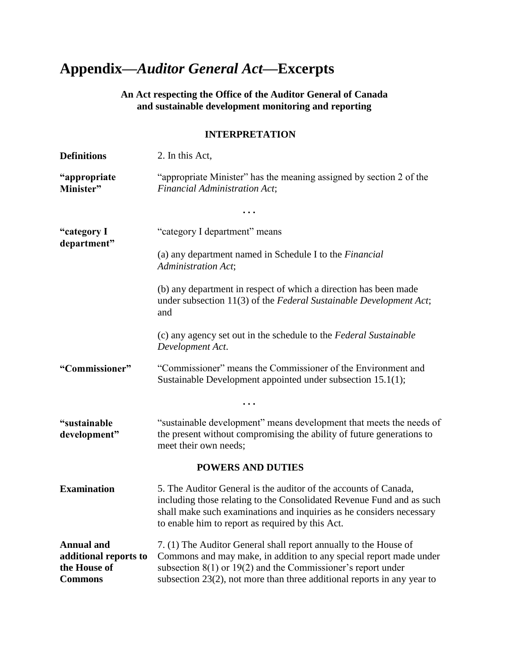## **Appendix—***Auditor General Act***—Excerpts**

**An Act respecting the Office of the Auditor General of Canada and sustainable development monitoring and reporting**

## **INTERPRETATION**

| <b>Definitions</b>                                                           | 2. In this Act,                                                                                                                                                                                                                                                                          |
|------------------------------------------------------------------------------|------------------------------------------------------------------------------------------------------------------------------------------------------------------------------------------------------------------------------------------------------------------------------------------|
| "appropriate"<br>Minister"                                                   | "appropriate Minister" has the meaning assigned by section 2 of the<br><b>Financial Administration Act;</b>                                                                                                                                                                              |
|                                                                              |                                                                                                                                                                                                                                                                                          |
| "category I<br>department"                                                   | "category I department" means                                                                                                                                                                                                                                                            |
|                                                                              | (a) any department named in Schedule I to the <i>Financial</i><br>Administration Act;                                                                                                                                                                                                    |
|                                                                              | (b) any department in respect of which a direction has been made<br>under subsection 11(3) of the Federal Sustainable Development Act;<br>and                                                                                                                                            |
|                                                                              | (c) any agency set out in the schedule to the Federal Sustainable<br>Development Act.                                                                                                                                                                                                    |
| "Commissioner"                                                               | "Commissioner" means the Commissioner of the Environment and<br>Sustainable Development appointed under subsection 15.1(1);                                                                                                                                                              |
|                                                                              |                                                                                                                                                                                                                                                                                          |
| "sustainable<br>development"                                                 | "sustainable development" means development that meets the needs of<br>the present without compromising the ability of future generations to<br>meet their own needs;                                                                                                                    |
|                                                                              | <b>POWERS AND DUTIES</b>                                                                                                                                                                                                                                                                 |
| <b>Examination</b>                                                           | 5. The Auditor General is the auditor of the accounts of Canada,<br>including those relating to the Consolidated Revenue Fund and as such<br>shall make such examinations and inquiries as he considers necessary<br>to enable him to report as required by this Act.                    |
| <b>Annual</b> and<br>additional reports to<br>the House of<br><b>Commons</b> | 7. (1) The Auditor General shall report annually to the House of<br>Commons and may make, in addition to any special report made under<br>subsection $8(1)$ or $19(2)$ and the Commissioner's report under<br>subsection $23(2)$ , not more than three additional reports in any year to |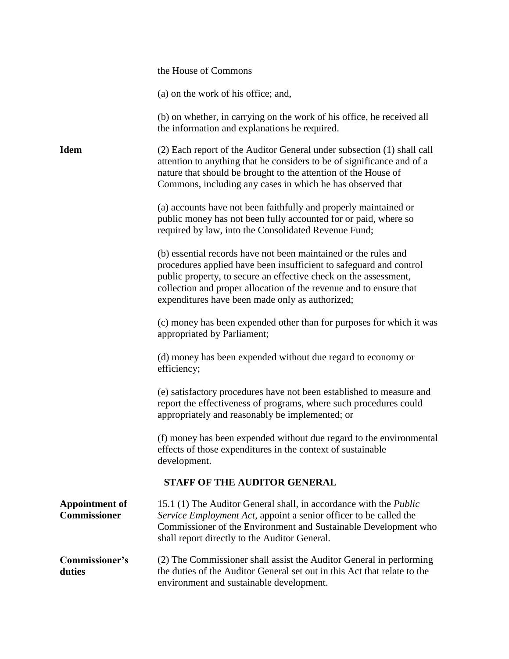|                                              | the House of Commons                                                                                                                                                                                                                                                                                                               |
|----------------------------------------------|------------------------------------------------------------------------------------------------------------------------------------------------------------------------------------------------------------------------------------------------------------------------------------------------------------------------------------|
|                                              | (a) on the work of his office; and,                                                                                                                                                                                                                                                                                                |
|                                              | (b) on whether, in carrying on the work of his office, he received all<br>the information and explanations he required.                                                                                                                                                                                                            |
| <b>Idem</b>                                  | (2) Each report of the Auditor General under subsection (1) shall call<br>attention to anything that he considers to be of significance and of a<br>nature that should be brought to the attention of the House of<br>Commons, including any cases in which he has observed that                                                   |
|                                              | (a) accounts have not been faithfully and properly maintained or<br>public money has not been fully accounted for or paid, where so<br>required by law, into the Consolidated Revenue Fund;                                                                                                                                        |
|                                              | (b) essential records have not been maintained or the rules and<br>procedures applied have been insufficient to safeguard and control<br>public property, to secure an effective check on the assessment,<br>collection and proper allocation of the revenue and to ensure that<br>expenditures have been made only as authorized; |
|                                              | (c) money has been expended other than for purposes for which it was<br>appropriated by Parliament;                                                                                                                                                                                                                                |
|                                              | (d) money has been expended without due regard to economy or<br>efficiency;                                                                                                                                                                                                                                                        |
|                                              | (e) satisfactory procedures have not been established to measure and<br>report the effectiveness of programs, where such procedures could<br>appropriately and reasonably be implemented; or                                                                                                                                       |
|                                              | (f) money has been expended without due regard to the environmental<br>effects of those expenditures in the context of sustainable<br>development.                                                                                                                                                                                 |
|                                              | <b>STAFF OF THE AUDITOR GENERAL</b>                                                                                                                                                                                                                                                                                                |
| <b>Appointment of</b><br><b>Commissioner</b> | 15.1 (1) The Auditor General shall, in accordance with the <i>Public</i><br>Service Employment Act, appoint a senior officer to be called the<br>Commissioner of the Environment and Sustainable Development who<br>shall report directly to the Auditor General.                                                                  |
| Commissioner's<br>duties                     | (2) The Commissioner shall assist the Auditor General in performing<br>the duties of the Auditor General set out in this Act that relate to the<br>environment and sustainable development.                                                                                                                                        |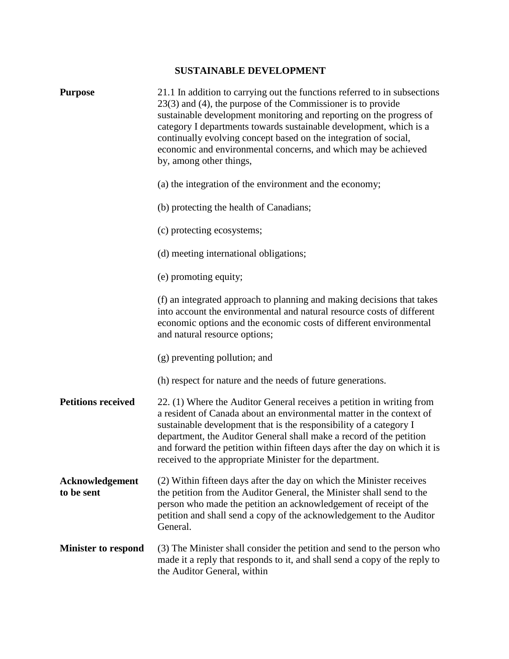## **SUSTAINABLE DEVELOPMENT**

| <b>Purpose</b>                | 21.1 In addition to carrying out the functions referred to in subsections<br>$23(3)$ and (4), the purpose of the Commissioner is to provide<br>sustainable development monitoring and reporting on the progress of<br>category I departments towards sustainable development, which is a<br>continually evolving concept based on the integration of social,<br>economic and environmental concerns, and which may be achieved<br>by, among other things, |
|-------------------------------|-----------------------------------------------------------------------------------------------------------------------------------------------------------------------------------------------------------------------------------------------------------------------------------------------------------------------------------------------------------------------------------------------------------------------------------------------------------|
|                               | (a) the integration of the environment and the economy;                                                                                                                                                                                                                                                                                                                                                                                                   |
|                               | (b) protecting the health of Canadians;                                                                                                                                                                                                                                                                                                                                                                                                                   |
|                               | (c) protecting ecosystems;                                                                                                                                                                                                                                                                                                                                                                                                                                |
|                               | (d) meeting international obligations;                                                                                                                                                                                                                                                                                                                                                                                                                    |
|                               | (e) promoting equity;                                                                                                                                                                                                                                                                                                                                                                                                                                     |
|                               | (f) an integrated approach to planning and making decisions that takes<br>into account the environmental and natural resource costs of different<br>economic options and the economic costs of different environmental<br>and natural resource options;                                                                                                                                                                                                   |
|                               | (g) preventing pollution; and                                                                                                                                                                                                                                                                                                                                                                                                                             |
|                               | (h) respect for nature and the needs of future generations.                                                                                                                                                                                                                                                                                                                                                                                               |
| <b>Petitions received</b>     | 22. (1) Where the Auditor General receives a petition in writing from<br>a resident of Canada about an environmental matter in the context of<br>sustainable development that is the responsibility of a category I<br>department, the Auditor General shall make a record of the petition<br>and forward the petition within fifteen days after the day on which it is<br>received to the appropriate Minister for the department.                       |
| Acknowledgement<br>to be sent | (2) Within fifteen days after the day on which the Minister receives<br>the petition from the Auditor General, the Minister shall send to the<br>person who made the petition an acknowledgement of receipt of the<br>petition and shall send a copy of the acknowledgement to the Auditor<br>General.                                                                                                                                                    |
| <b>Minister to respond</b>    | (3) The Minister shall consider the petition and send to the person who<br>made it a reply that responds to it, and shall send a copy of the reply to<br>the Auditor General, within                                                                                                                                                                                                                                                                      |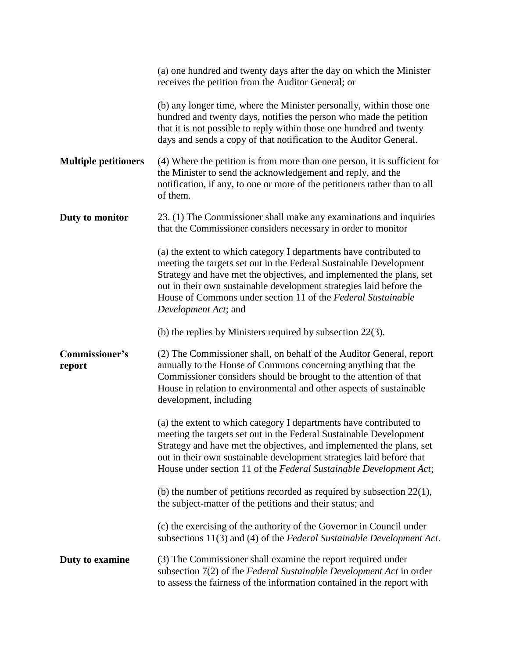|                             | (a) one hundred and twenty days after the day on which the Minister<br>receives the petition from the Auditor General; or                                                                                                                                                                                                                                                       |
|-----------------------------|---------------------------------------------------------------------------------------------------------------------------------------------------------------------------------------------------------------------------------------------------------------------------------------------------------------------------------------------------------------------------------|
|                             | (b) any longer time, where the Minister personally, within those one<br>hundred and twenty days, notifies the person who made the petition<br>that it is not possible to reply within those one hundred and twenty<br>days and sends a copy of that notification to the Auditor General.                                                                                        |
| <b>Multiple petitioners</b> | (4) Where the petition is from more than one person, it is sufficient for<br>the Minister to send the acknowledgement and reply, and the<br>notification, if any, to one or more of the petitioners rather than to all<br>of them.                                                                                                                                              |
| Duty to monitor             | 23. (1) The Commissioner shall make any examinations and inquiries<br>that the Commissioner considers necessary in order to monitor                                                                                                                                                                                                                                             |
|                             | (a) the extent to which category I departments have contributed to<br>meeting the targets set out in the Federal Sustainable Development<br>Strategy and have met the objectives, and implemented the plans, set<br>out in their own sustainable development strategies laid before the<br>House of Commons under section 11 of the Federal Sustainable<br>Development Act; and |
|                             | (b) the replies by Ministers required by subsection $22(3)$ .                                                                                                                                                                                                                                                                                                                   |
| Commissioner's<br>report    | (2) The Commissioner shall, on behalf of the Auditor General, report<br>annually to the House of Commons concerning anything that the<br>Commissioner considers should be brought to the attention of that<br>House in relation to environmental and other aspects of sustainable<br>development, including                                                                     |
|                             | (a) the extent to which category I departments have contributed to<br>meeting the targets set out in the Federal Sustainable Development<br>Strategy and have met the objectives, and implemented the plans, set<br>out in their own sustainable development strategies laid before that<br>House under section 11 of the Federal Sustainable Development Act;                  |
|                             | (b) the number of petitions recorded as required by subsection $22(1)$ ,<br>the subject-matter of the petitions and their status; and                                                                                                                                                                                                                                           |
|                             | (c) the exercising of the authority of the Governor in Council under<br>subsections 11(3) and (4) of the Federal Sustainable Development Act.                                                                                                                                                                                                                                   |
| Duty to examine             | (3) The Commissioner shall examine the report required under<br>subsection $7(2)$ of the Federal Sustainable Development Act in order<br>to assess the fairness of the information contained in the report with                                                                                                                                                                 |